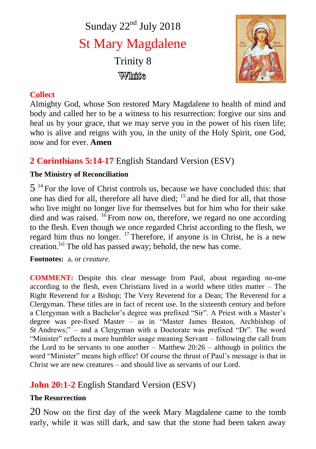Sunday  $22<sup>nd</sup>$  July 2018 St Mary Magdalene Trinity 8 ₩⊪⊪w



## **Collect**

Almighty God, whose Son restored Mary Magdalene to health of mind and body and called her to be a witness to his resurrection: forgive our sins and heal us by your grace, that we may serve you in the power of his risen life; who is alive and reigns with you, in the unity of the Holy Spirit, one God, now and for ever. **Amen**

# **2 Corinthians 5:14-17** English Standard Version (ESV)

## **The Ministry of Reconciliation**

5<sup>14</sup> For the love of Christ controls us, because we have concluded this: that one has died for all, therefore all have died; <sup>15</sup> and he died for all, that those who live might no longer live for themselves but for him who for their sake died and was raised.  $^{16}$  From now on, therefore, we regard no one according to the flesh. Even though we once regarded Christ according to the flesh, we regard him thus no longer. <sup>17</sup> Therefore, if anyone is in Christ, he is a new creation.[a] The old has passed away; behold, the new has come.

**Footnotes:** a. or *creature*.

**COMMENT:** Despite this clear message from Paul, about regarding no-one according to the flesh, even Christians lived in a world where titles matter – The Right Reverend for a Bishop; The Very Reverend for a Dean; The Reverend for a Clergyman. These titles are in fact of recent use. In the sixteenth century and before a Clergyman with a Bachelor's degree was prefixed "Sir". A Priest with a Master's degree was pre-fixed Master – as in "Master James Beaton, Archbishop of St Andrews;" – and a Clergyman with a Doctorate was prefixed "Dr". The word "Minister" reflects a more humbler usage meaning Servant – following the call from the Lord to be servants to one another – Matthew 20:26 – although in politics the word "Minister" means high office! Of course the thrust of Paul's message is that in Christ we are new creatures – and should live as servants of our Lord.

# **John 20:1-2** English Standard Version (ESV)

## **The Resurrection**

20 Now on the first day of the week Mary Magdalene came to the tomb early, while it was still dark, and saw that the stone had been taken away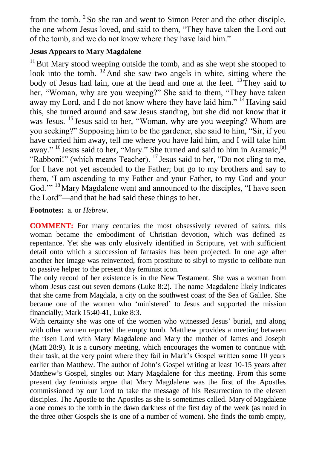from the tomb. <sup>2</sup>So she ran and went to Simon Peter and the other disciple, the one whom Jesus loved, and said to them, "They have taken the Lord out of the tomb, and we do not know where they have laid him."

#### **Jesus Appears to Mary Magdalene**

 $11$  But Mary stood weeping outside the tomb, and as she wept she stooped to look into the tomb.  $12$  And she saw two angels in white, sitting where the body of Jesus had lain, one at the head and one at the feet.  $^{13}$  They said to her, "Woman, why are you weeping?" She said to them, "They have taken away my Lord, and I do not know where they have laid him."  $14$  Having said this, she turned around and saw Jesus standing, but she did not know that it was Jesus. <sup>15</sup> Jesus said to her, "Woman, why are you weeping? Whom are you seeking?" Supposing him to be the gardener, she said to him, "Sir, if you have carried him away, tell me where you have laid him, and I will take him away." <sup>16</sup> Jesus said to her, "Mary." She turned and said to him in Aramaic, <sup>[a]</sup> "Rabboni!" (which means Teacher). <sup>17</sup> Jesus said to her, "Do not cling to me, for I have not yet ascended to the Father; but go to my brothers and say to them, 'I am ascending to my Father and your Father, to my God and your God."<sup>18</sup> Mary Magdalene went and announced to the disciples, "I have seen the Lord"—and that he had said these things to her.

#### **Footnotes:** a. or *Hebrew*.

**COMMENT:** For many centuries the most obsessively revered of saints, this woman became the embodiment of Christian devotion, which was defined as repentance. Yet she was only elusively identified in Scripture, yet with sufficient detail onto which a succession of fantasies has been projected. In one age after another her image was reinvented, from prostitute to sibyl to mystic to celibate nun to passive helper to the present day feminist icon.

The only record of her existence is in the New Testament. She was a woman from whom Jesus cast out seven demons (Luke 8:2). The name Magdalene likely indicates that she came from Magdala, a city on the southwest coast of the Sea of Galilee. She became one of the women who 'ministered' to Jesus and supported the mission financially; Mark 15:40-41, Luke 8:3.

With certainty she was one of the women who witnessed Jesus' burial, and along with other women reported the empty tomb. Matthew provides a meeting between the risen Lord with Mary Magdalene and Mary the mother of James and Joseph (Matt 28:9). It is a cursory meeting, which encourages the women to continue with their task, at the very point where they fail in Mark's Gospel written some 10 years earlier than Matthew. The author of John's Gospel writing at least 10-15 years after Matthew's Gospel, singles out Mary Magdalene for this meeting. From this some present day feminists argue that Mary Magdalene was the first of the Apostles commissioned by our Lord to take the message of his Resurrection to the eleven disciples. The Apostle to the Apostles as she is sometimes called. Mary of Magdalene alone comes to the tomb in the dawn darkness of the first day of the week (as noted in the three other Gospels she is one of a number of women). She finds the tomb empty,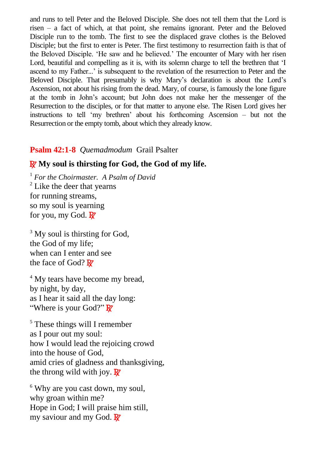and runs to tell Peter and the Beloved Disciple. She does not tell them that the Lord is risen – a fact of which, at that point, she remains ignorant. Peter and the Beloved Disciple run to the tomb. The first to see the displaced grave clothes is the Beloved Disciple; but the first to enter is Peter. The first testimony to resurrection faith is that of the Beloved Disciple. 'He saw and he believed.' The encounter of Mary with her risen Lord, beautiful and compelling as it is, with its solemn charge to tell the brethren that 'I ascend to my Father...' is subsequent to the revelation of the resurrection to Peter and the Beloved Disciple. That presumably is why Mary's declaration is about the Lord's Ascension, not about his rising from the dead. Mary, of course, is famously the lone figure at the tomb in John's account; but John does not make her the messenger of the Resurrection to the disciples, or for that matter to anyone else. The Risen Lord gives her instructions to tell 'my brethren' about his forthcoming Ascension – but not the Resurrection or the empty tomb, about which they already know.

## **Psalm 42:1-8** *Quemadmodum* Grail Psalter

## R **My soul is thirsting for God, the God of my life.**

<sup>1</sup> *For the Choirmaster. A Psalm of David* <sup>2</sup> Like the deer that yearns for running streams, so my soul is yearning for you, my God.  $\mathbb{R}^7$ 

 $3$  My soul is thirsting for God, the God of my life; when can I enter and see the face of God? R

<sup>4</sup> My tears have become my bread. by night, by day, as I hear it said all the day long: "Where is your God?" R

<sup>5</sup> These things will I remember as I pour out my soul: how I would lead the rejoicing crowd into the house of God, amid cries of gladness and thanksgiving, the throng wild with joy.  $\mathbf{R}$ 

<sup>6</sup> Why are you cast down, my soul, why groan within me? Hope in God; I will praise him still, my saviour and my God.  $\mathbb{R}^7$